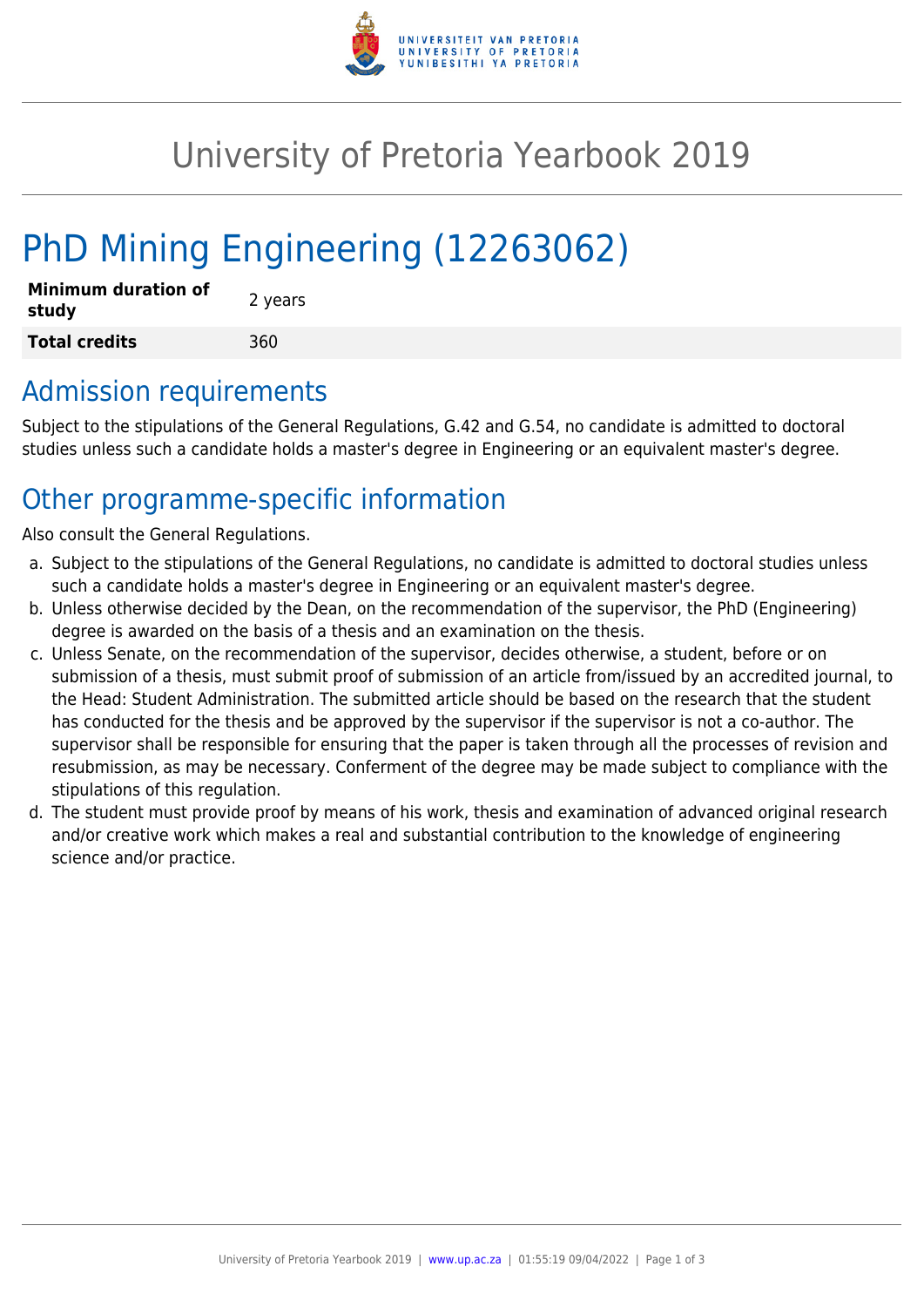

## University of Pretoria Yearbook 2019

# PhD Mining Engineering (12263062)

| Minimum duration of<br>study | 2 years |
|------------------------------|---------|
| <b>Total credits</b>         | 360     |

#### Admission requirements

Subject to the stipulations of the General Regulations, G.42 and G.54, no candidate is admitted to doctoral studies unless such a candidate holds a master's degree in Engineering or an equivalent master's degree.

### Other programme-specific information

Also consult the General Regulations.

- a. Subject to the stipulations of the General Regulations, no candidate is admitted to doctoral studies unless such a candidate holds a master's degree in Engineering or an equivalent master's degree.
- b. Unless otherwise decided by the Dean, on the recommendation of the supervisor, the PhD (Engineering) degree is awarded on the basis of a thesis and an examination on the thesis.
- c. Unless Senate, on the recommendation of the supervisor, decides otherwise, a student, before or on submission of a thesis, must submit proof of submission of an article from/issued by an accredited journal, to the Head: Student Administration. The submitted article should be based on the research that the student has conducted for the thesis and be approved by the supervisor if the supervisor is not a co-author. The supervisor shall be responsible for ensuring that the paper is taken through all the processes of revision and resubmission, as may be necessary. Conferment of the degree may be made subject to compliance with the stipulations of this regulation.
- d. The student must provide proof by means of his work, thesis and examination of advanced original research and/or creative work which makes a real and substantial contribution to the knowledge of engineering science and/or practice.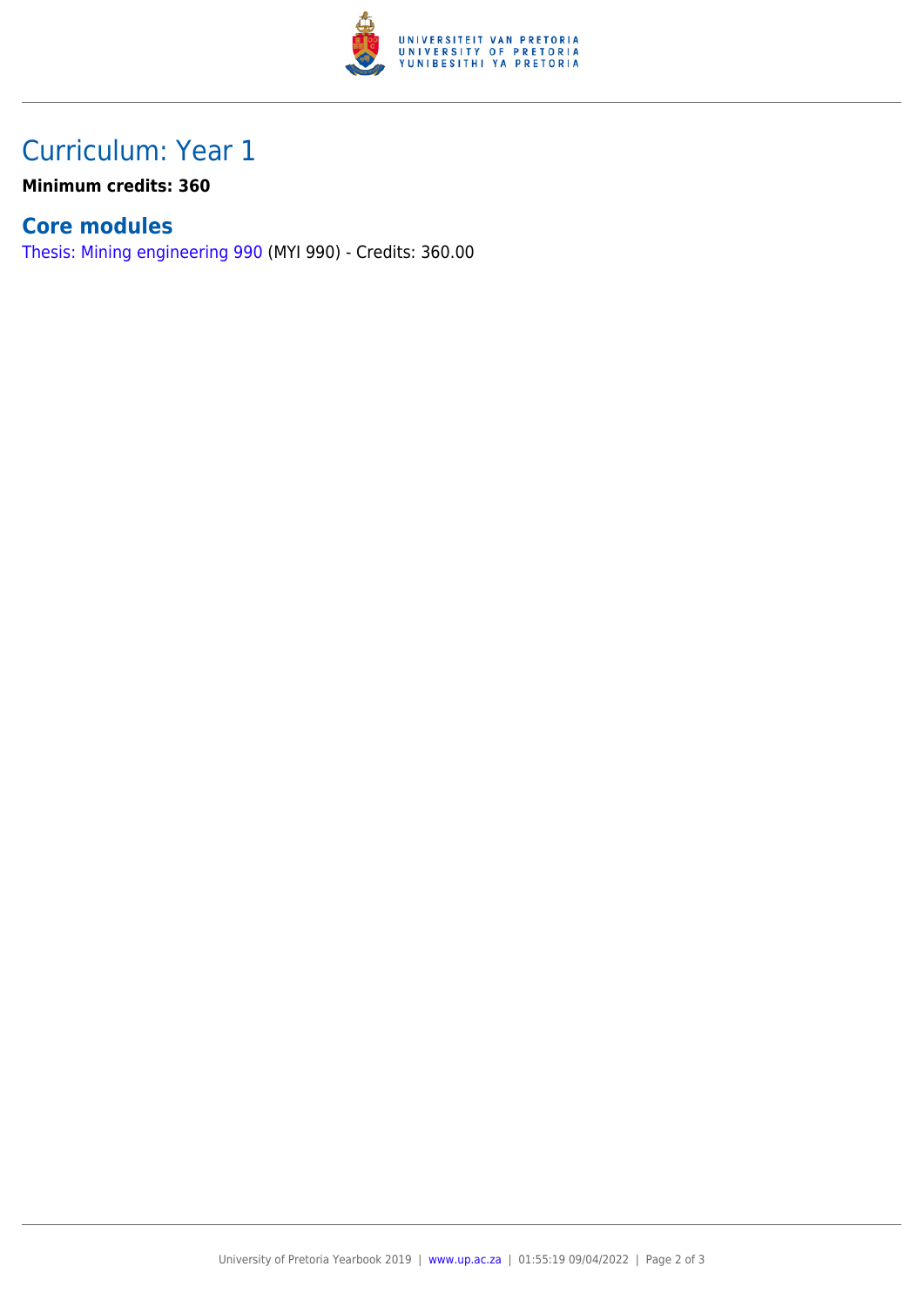

## Curriculum: Year 1

**Minimum credits: 360**

#### **Core modules**

[Thesis: Mining engineering 990](https://www.up.ac.za/faculty-of-education/yearbooks/2019/modules/view/MYI 990) (MYI 990) - Credits: 360.00